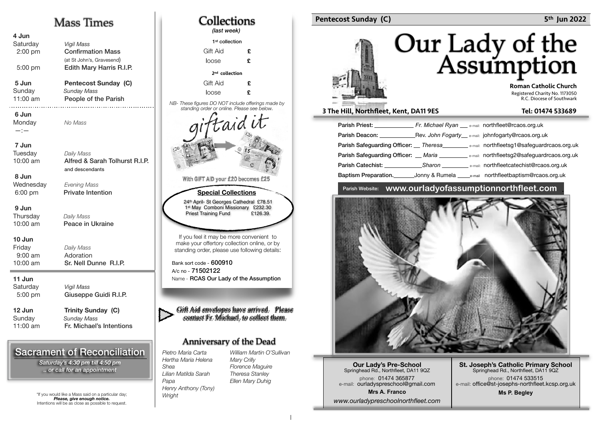## Mass Times

| 4 Jun<br>Saturday<br>$2:00$ pm<br>5:00 pm | <b>Vigil Mass</b><br><b>Confirmation Mass</b><br>(at St John's, Gravesend)<br>Edith Mary Harris R.I.P. |
|-------------------------------------------|--------------------------------------------------------------------------------------------------------|
| 5 Jun<br>Sunday<br>$11:00$ am<br>.        | Pentecost Sunday (C)<br><b>Sunday Mass</b><br>People of the Parish                                     |
| 6 Jun<br>Monday<br>$-:-$                  | No Mass                                                                                                |
| 7 Jun<br>Tuesday<br>10:00 am<br>8 Jun     | Daily Mass<br>Alfred & Sarah Tolhurst R.I.P.<br>and descendants                                        |
| Wednesday<br>6:00 pm                      | <b>Evening Mass</b><br><b>Private Intention</b>                                                        |
| 9 Jun<br>Thursday<br>10:00 am             | Daily Mass<br>Peace in Ukraine                                                                         |
| 10 Jun<br>Friday<br>$9:00$ am<br>10:00 am | Daily Mass<br>Adoration<br>Sr. Nell Dunne R.I.P.                                                       |
| 11 Jun<br>Saturday<br>5:00 pm             | <b>Vigil Mass</b><br>Giuseppe Guidi R.I.P.                                                             |
| 12 Jun<br>Sunday<br>11:00 am              | <b>Trinity Sunday (C)</b><br><b>Sunday Mass</b><br>Fr. Michael's Intentions                            |

## Sacrament of Reconciliation

*Saturday's 4:30 pm till 4:50 pm .. or call for an appointment*

\*If you would like a Mass said on a particular day; *Please, give enough notice.* Intentions will be as close as possible to request.



#### Pentecost Sunday (C) **5th Jun 2022 5th Jun 2022**

# Our Lady of the<br>Assumption

 Roman Catholic Church Registered Charity No. 1173050 R.C. Diocese of Southwark

#### 3 The Hill, Northfleet, Kent, DA11 9ES Tel: 01474 533689

| Rev. John Fogarty e-mail: johnfogarty@rcaos.org.uk<br>Parish Deacon: The Contract of the Contract of the Contract of the Contract of the Contract of the Contract of the Contract of the Contract of the Contract of the Contract of the Contract of the Contract of the Contract of |  |  |
|--------------------------------------------------------------------------------------------------------------------------------------------------------------------------------------------------------------------------------------------------------------------------------------|--|--|
| Parish Safeguarding Officer: __ Theresa _________ e-mail: northfleetsg1@safeguardrcaos.org.uk                                                                                                                                                                                        |  |  |
| Parish Safeguarding Officer: __ Maria ___________ e-mail: northfleetsg2@safeguardrcaos.org.uk                                                                                                                                                                                        |  |  |
| <b>Parish Catechist:</b> Sharon <b>Sharon</b> e-mail: northfleetcatechist@rcaos.org.uk                                                                                                                                                                                               |  |  |
| Baptism Preparation. Compy & Rumela Comparison north fleet baptism @rcaos.org.uk                                                                                                                                                                                                     |  |  |

#### Parish Website: **www.ourladyofassumptionnorthfleet.com** .



**Our Lady's Pre-School**  Springhead Rd., Northfleet, DA11 9QZ phone: 01474 365877 e-mail: ourladyspreschool@gmail.com **Mrs A. Franco** *www.ourladypreschoolnorthfleet.com*

**St. Joseph's Catholic Primary School** Springhead Rd., Northfleet, DA11 9QZ phone: 01474 533515 e-mail: office@st-josephs-northfleet.kcsp.org.uk **Ms P. Begley**